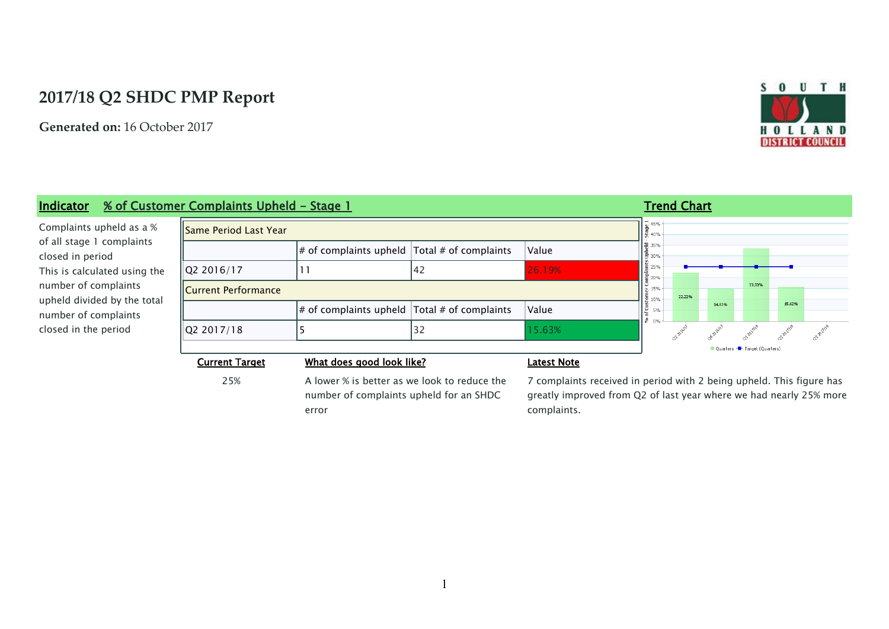# **2017/18 Q2 SHDC PMP Report**

**Generated on:** 16 October 2017



### **Indicator** % of Customer Complaints Upheld - Stage 1 **Trend Chart Trend Chart**  $\begin{array}{|l|}\n\hline\n\text{u} & 45\% \\
\hline\n\text{u} & 40\% \\
\hline\n\text{u} & 40\% \\
\hline\n\end{array}$ Complaints upheld as a % Same Period Last Year of all stage 1 complaints  $\frac{1}{6}$  35%  $\ket{\text{\# of complaints upheld}}$  Total  $\text{\# of complaints}$   $\ket{\text{Value}}$ closed in period 흌 30%  $\sqrt{22\,2016/17}$   $\sqrt{11}$   $\sqrt{42}$   $\sqrt{26.19\%}$ ...<br>≣ 25% This is calculated using the ≣ 20% number of complaints 33.33% Current Performance 15% 22.22% upheld divided by the total  $\overline{5}$  10% 14.81% 15.62% | g  $\#$  of complaints upheld  $\|$  Total  $\#$  of complaints  $\|$  Value 5% number of complaints قى ا  $\mathfrak{g}$ oz Rigill Quadite co-eville closed in the period  $\overline{Q}$ 2 2017/18  $\overline{5}$  5 32 15.63% Q1-2017 Quarters -<sup>1</sup>- Target (Quarters) **Current Target What does good look like? Latest Note**

25% A lower % is better as we look to reduce the number of complaints upheld for an SHDC error

7 complaints received in period with 2 being upheld. This figure has greatly improved from Q2 of last year where we had nearly 25% more complaints.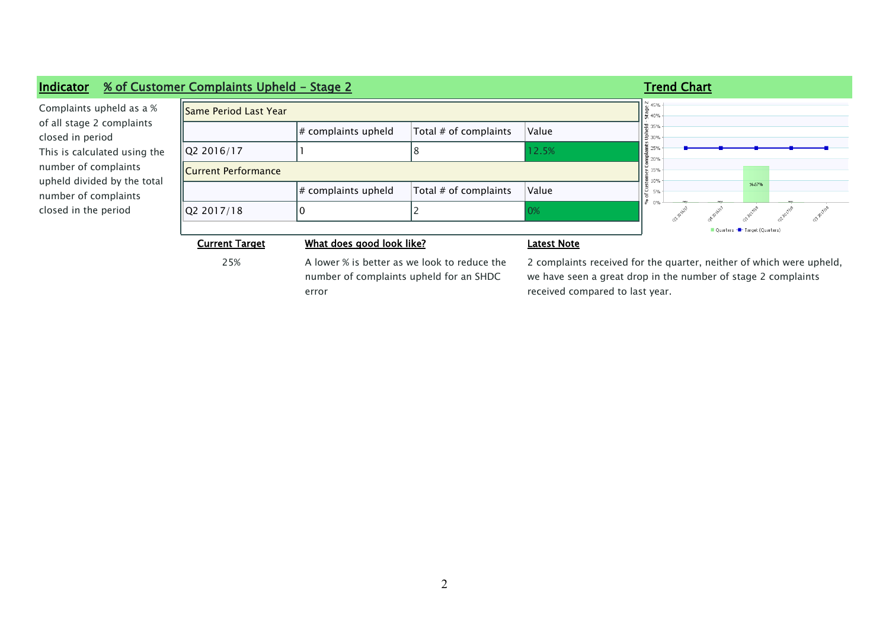| Indicator                                                                                                                                                                                                        | % of Customer Complaints Upheld - Stage 2  | <b>Trend Chart</b>                                                        |                       |                                                                     |                            |  |        |                              |  |  |  |
|------------------------------------------------------------------------------------------------------------------------------------------------------------------------------------------------------------------|--------------------------------------------|---------------------------------------------------------------------------|-----------------------|---------------------------------------------------------------------|----------------------------|--|--------|------------------------------|--|--|--|
| Complaints upheld as a %<br>of all stage 2 complaints<br>closed in period<br>This is calculated using the<br>number of complaints<br>upheld divided by the total<br>number of complaints<br>closed in the period | $\frac{N}{4}$ 45%<br>Same Period Last Year |                                                                           |                       |                                                                     |                            |  |        |                              |  |  |  |
|                                                                                                                                                                                                                  |                                            | $\#$ complaints upheld                                                    | Total # of complaints | Value                                                               | 응 40%<br>▌ૅ⊋ 35%<br>┃을 30% |  |        |                              |  |  |  |
|                                                                                                                                                                                                                  | Q2 2016/17                                 |                                                                           |                       | 12.5%                                                               | 25%<br>20%                 |  |        |                              |  |  |  |
|                                                                                                                                                                                                                  | <b>IICurrent Performance</b>               |                                                                           |                       |                                                                     |                            |  |        |                              |  |  |  |
|                                                                                                                                                                                                                  |                                            | $\#$ complaints upheld                                                    | Total # of complaints | Value                                                               | 210%<br>ت<br>5%            |  | 16.67% |                              |  |  |  |
|                                                                                                                                                                                                                  | 02 2017/18                                 |                                                                           |                       | 0%                                                                  |                            |  |        |                              |  |  |  |
|                                                                                                                                                                                                                  |                                            |                                                                           |                       |                                                                     |                            |  |        | Quarters - Target (Quarters) |  |  |  |
|                                                                                                                                                                                                                  | <b>Current Target</b>                      | What does good look like?<br>A lower % is hetter as we look to reduce the |                       | Latest Note                                                         |                            |  |        |                              |  |  |  |
|                                                                                                                                                                                                                  | つち%                                        |                                                                           |                       | 2 complaints received for the quarter, neither of which were unheld |                            |  |        |                              |  |  |  |

25% A lower % is better as we look to reduce the number of complaints upheld for an SHDC error

2 complaints received for the quarter, neither of which were upheld, we have seen a great drop in the number of stage 2 complaints received compared to last year.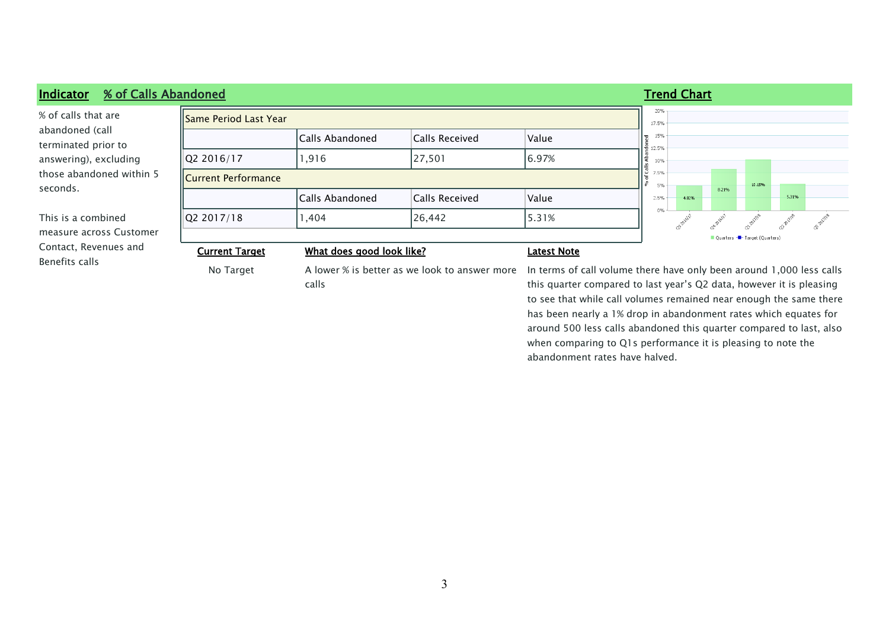### **Indicator % of Calls Abandoned Trend Chart** 20% % of calls that are Same Period Last Year 17.5% abandoned (call 15% Calls Abandoned Calls Received Value terminated prior to 。<br>8 <sub>12.5%</sub> answering), excluding Q2 2016/17 | 1,916 | 27,501 | 6.97% 10% lắ those abandoned within 5  $7.5%$ Current Performance  $5%$ 10.15% seconds. 8.21% Calls Abandoned Calls Received Value 5.31%  $2.5%$ 4.82%  $0%$ This is a combined  $\overline{Q}$ 2 2017/18  $\overline{Q}$  1,404  $\overline{Q}$  26,442  $\overline{S}$  5.31% **OP ZOLTING** measure across Customer Quarters -<sup>1</sup>- Target (Quarters) Contact, Revenues and **Current Target What does good look like? Latest Note** Benefits calls No Target A lower % is better as we look to answer more In terms of call volume there have only been around 1,000 less calls calls this quarter compared to last year's Q2 data, however it is pleasing

to see that while call volumes remained near enough the same there has been nearly a 1% drop in abandonment rates which equates for around 500 less calls abandoned this quarter compared to last, also when comparing to Q1s performance it is pleasing to note the abandonment rates have halved.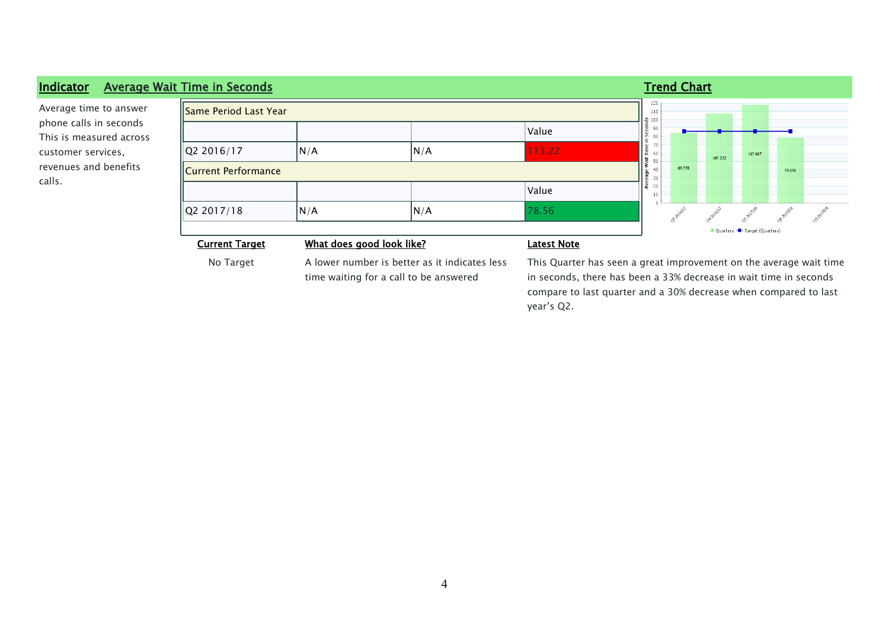### **Indicator Average Wait Time in Seconds Trend Chart Trend Chart Trend Chart Trend Chart**  $\overline{120}$ Average time to answer Same Period Last Year  $\frac{1}{110}$  $\frac{10}{100}$ phone calls in seconds 90 Value Time in Secon 80 This is measured across  $70$  $\sqrt{Q}$ 2 2016/17  $\sqrt{N/A}$   $\sqrt{N/A}$  113.22 customer services, 60 117.667 Average Wait T<br>
2 8 8 5 9 8 107.222 revenues and benefits Current Performance  $40$ 83.778 78.556 30 calls.  $20$ Value  $10<sup>1</sup>$  $\overline{a}$ or pulle CD-201711'S  $Q2 2017/18$   $N/A$   $N/A$  78.56 **Rately** ot-pulle Quarters - T- Target (Quarters) **Current Target What does good look like? Latest Note** No Target A lower number is better as it indicates less This Quarter has seen a great improvement on the average wait time time waiting for a call to be answered

in seconds, there has been a 33% decrease in wait time in seconds compare to last quarter and a 30% decrease when compared to last year's Q2.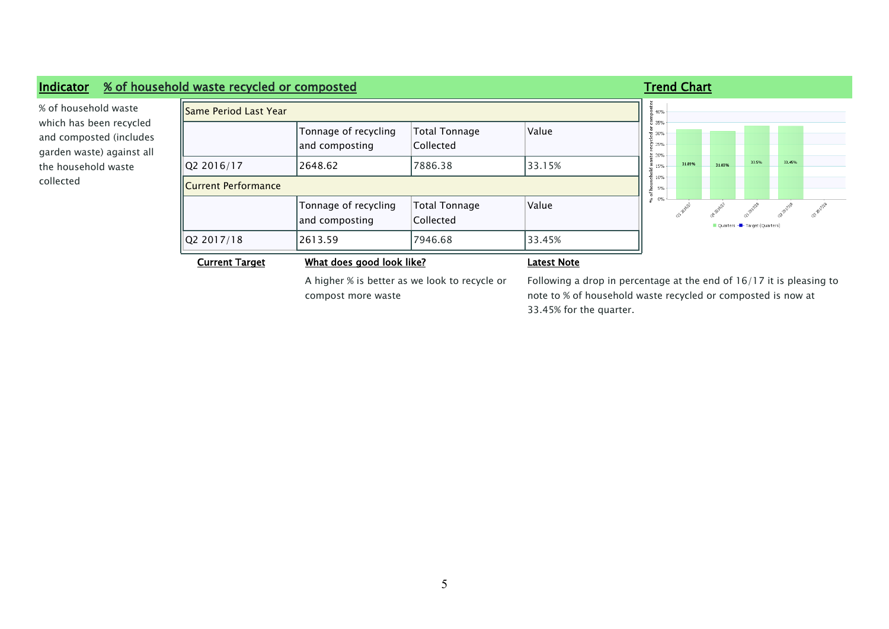### **Indicator % of household waste recycled or composted Trend Chart Trend Chart**  $\frac{d}{2}$  40% % of household waste Same Period Last Year 통<br>8 35% which has been recycled ecycled or c<br>25%<br>% Tonnage of recycling Total Tonnage Value and composted (includes and composting Collected garden waste) against all  $\frac{1}{8}$  20%<br>= 15% 33.5% 33.45%  $\overline{Q}$ 2 2016/17  $\overline{Q}$  2648.62  $\overline{Q}$  7886.38  $\overline{33.15\%}$ 31.89% 31.03% the household waste  $\frac{1}{6}$  15% collected Current Performance ಳ್ಳಿಂ ಗಂಟ್<br>೧ co-pieiri ochelly ot-zaillie azeizhe co-autre Tonnage of recycling Total Tonnage Value and composting Collected Ouarters - Target (Quarters) Q2 2017/18 2613.59 7946.68 33.45% **Current Target What does good look like? Latest Note**

A higher % is better as we look to recycle or compost more waste

Following a drop in percentage at the end of 16/17 it is pleasing to note to % of household waste recycled or composted is now at 33.45% for the quarter.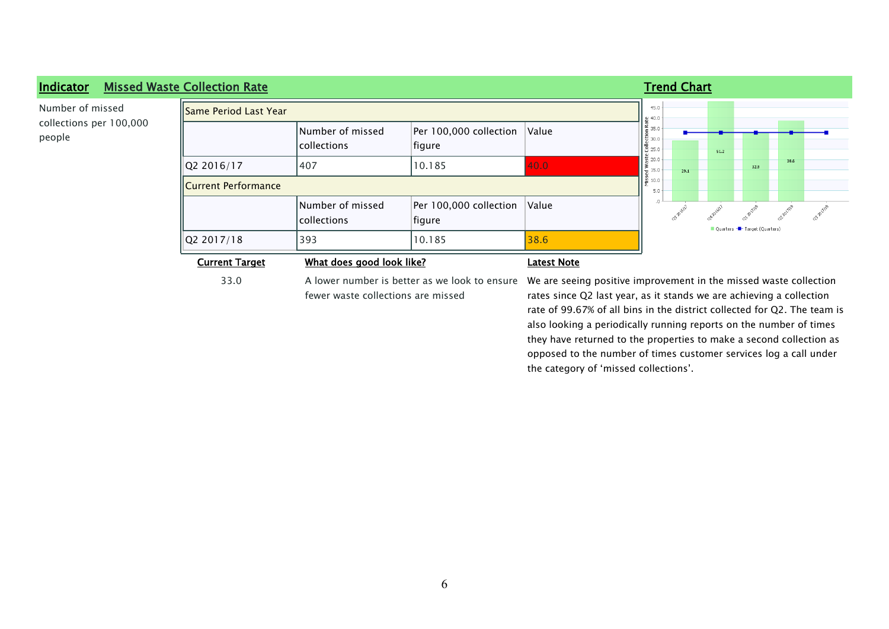| <b>Indicator</b>                  | <b>Missed Waste Collection Rate</b> |                                        |                                  |       |                                   | <b>Trend Chart</b> |      |                              |      |  |
|-----------------------------------|-------------------------------------|----------------------------------------|----------------------------------|-------|-----------------------------------|--------------------|------|------------------------------|------|--|
| Number of missed                  | Same Period Last Year!<br>  브 40.0  |                                        |                                  |       |                                   |                    |      |                              |      |  |
| collections per 100,000<br>people |                                     | Number of missed<br><i>collections</i> | Per 100,000 collection<br>figure | Value | $\leq$ 35.0<br>▌급 30.0<br>18 25.0 |                    | 51.2 |                              |      |  |
|                                   | Q2 2016/17                          | 1407                                   | 10.185                           | 40.0  | 쯉 20.0<br>$\frac{6}{9}$ 15.0      | 29.1               |      | 32.9                         | 38.6 |  |
|                                   | ≝ 10.0<br>Current Performance       |                                        |                                  |       |                                   |                    |      |                              |      |  |
|                                   |                                     | Number of missed<br> collections       | Per 100,000 collection<br>figure | Value |                                   |                    |      | Quarters - Target (Quarters) |      |  |
|                                   | Q2 2017/18                          | 393                                    | 10.185                           | 38.6  |                                   |                    |      |                              |      |  |
|                                   | <b>Current Target</b>               | What does good look like?              | <b>Latest Note</b>               |       |                                   |                    |      |                              |      |  |

fewer waste collections are missed

the category of 'missed collections'.

33.0 A lower number is better as we look to ensure We are seeing positive improvement in the missed waste collection rates since Q2 last year, as it stands we are achieving a collection rate of 99.67% of all bins in the district collected for Q2. The team is also looking a periodically running reports on the number of times they have returned to the properties to make a second collection as opposed to the number of times customer services log a call under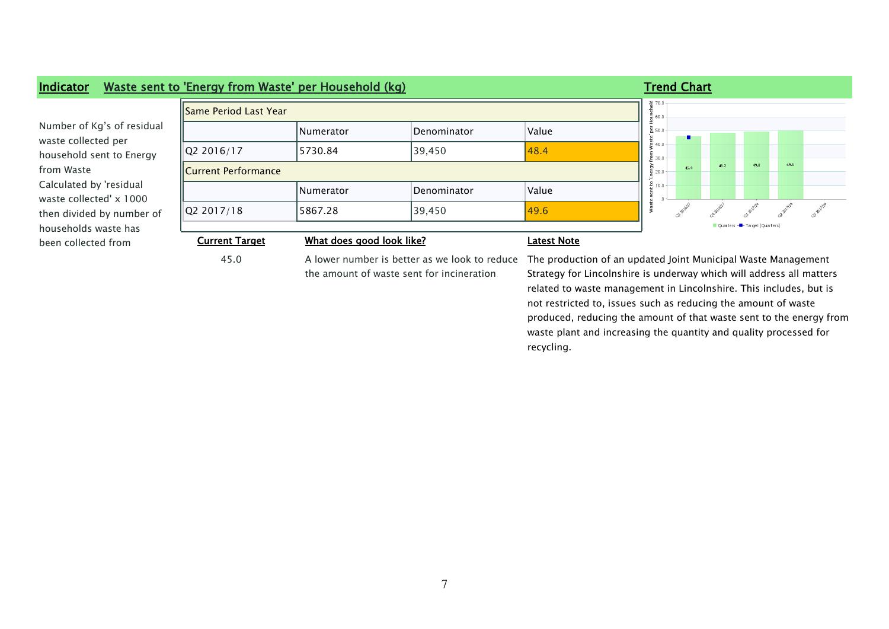

the amount of waste sent for incineration

45.0 A lower number is better as we look to reduce The production of an updated Joint Municipal Waste Management Strategy for Lincolnshire is underway which will address all matters related to waste management in Lincolnshire. This includes, but is not restricted to, issues such as reducing the amount of waste produced, reducing the amount of that waste sent to the energy from waste plant and increasing the quantity and quality processed for recycling.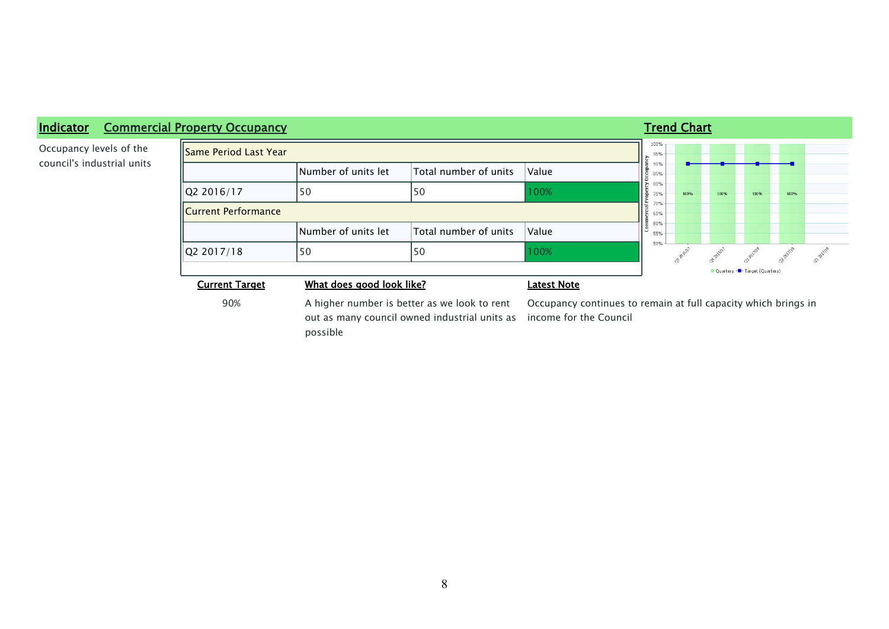

## **Indicator Commercial Property Occupancy Trend Chart Trend Chart Trend Chart**

Occupancy levels of the council's industrial units

possible

out as many council owned industrial units as income for the Council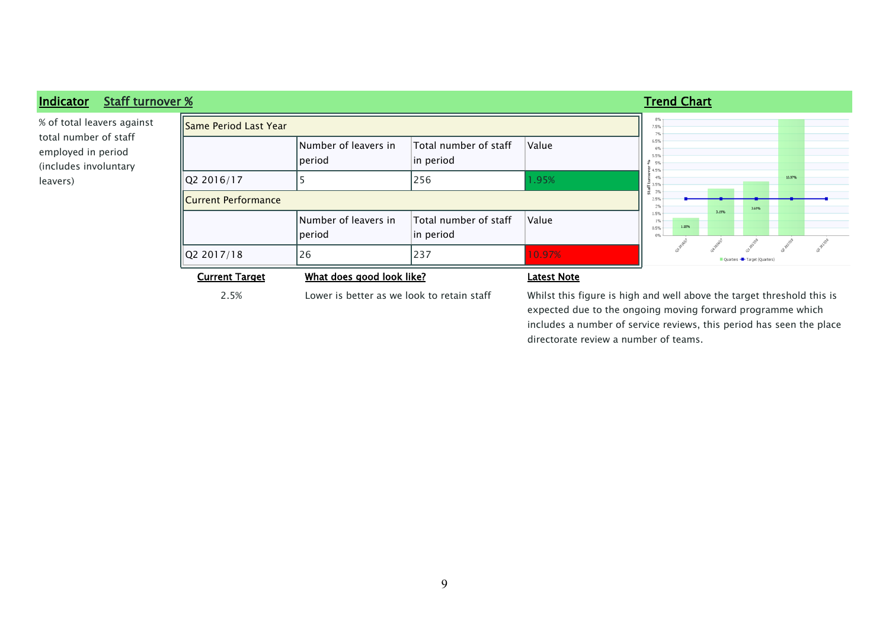

2.5% Lower is better as we look to retain staff Whilst this figure is high and well above the target threshold this is expected due to the ongoing moving forward programme which includes a number of service reviews, this period has seen the place directorate review a number of teams.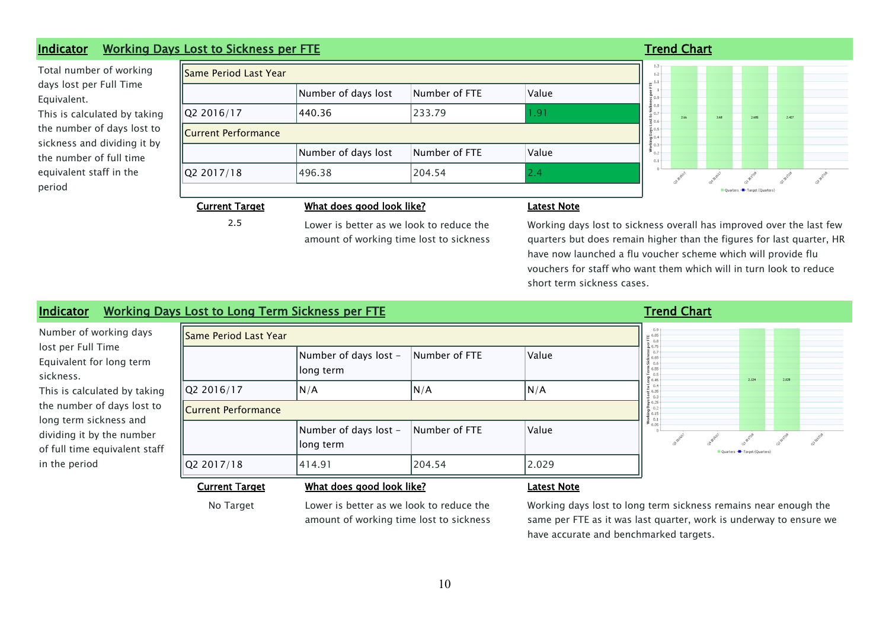### **Indicator Working Days Lost to Sickness per FTE Trend Chart Trend Chart Trend Chart**

Total number of working days lost per Full Time Equivalent. This is calculated by taking the number of days lost to sickness and dividing it by the number of full time equivalent staff in the period

| Same Period Last Year                         |                     |               |       |  |  |  |  |
|-----------------------------------------------|---------------------|---------------|-------|--|--|--|--|
| Number of days lost<br>Number of FTE<br>Value |                     |               |       |  |  |  |  |
| Q2 2016/17                                    | 440.36              | 233.79        | 1.91  |  |  |  |  |
| <b>Current Performance</b>                    |                     |               |       |  |  |  |  |
|                                               | Number of days lost | Number of FTE | Value |  |  |  |  |
| Q2 2017/18                                    | 496.38              | 204.54        | 2.4   |  |  |  |  |
|                                               |                     |               |       |  |  |  |  |

╕



### **Current Target What does good look like? Latest Note**

2.5 **Lower is better as we look to reduce the** amount of working time lost to sickness

Working days lost to sickness overall has improved over the last few quarters but does remain higher than the figures for last quarter, HR have now launched a flu voucher scheme which will provide flu vouchers for staff who want them which will in turn look to reduce short term sickness cases.

## **Indicator Working Days Lost to Long Term Sickness per FTE Transfer and Chart Trend Chart**

Number of working days lost per Full Time Equivalent for long term sickness. This is calculated by taki the number of days lost long term sickness and dividing it by the numbe of full time equivalent st in the period

| Same Period Last Year<br>$\mu$ 0.85<br>$-0.8$ |                                    |               |                    |                                                                                                |  |                              |       |  |
|-----------------------------------------------|------------------------------------|---------------|--------------------|------------------------------------------------------------------------------------------------|--|------------------------------|-------|--|
|                                               | Number of days lost -<br>long term | Number of FTE | Value              | 20.75<br>90.7<br>$\frac{8}{5}$ 0.65<br>ທີ 0.6<br>$E_{0.55}$<br>$E_{0.5}$<br>$\frac{1}{2}$ 0.45 |  | 2.124                        | 2.028 |  |
| Q2 2016/17                                    | N/A                                | N/A           | N/A                | 0.4<br>$\frac{1}{4}$ 0.35<br>$\frac{8}{2}$ 0.3                                                 |  |                              |       |  |
| <b>Current Performance</b>                    |                                    |               |                    | $*$ 0.25<br>0.2<br>$\check{\Xi}$ 0.15<br>5 0.1                                                 |  |                              |       |  |
|                                               | Number of days lost -<br>long term | Number of FTE | Value              | $\geq$ 0.05                                                                                    |  | Quarters - Target (Quarters) |       |  |
| Q2 2017/18                                    | 414.91                             | 204.54        | 2.029              |                                                                                                |  |                              |       |  |
| <b>Current Target</b>                         | What does good look like?          |               | <b>Latest Note</b> |                                                                                                |  |                              |       |  |

No Target Lower is better as we look to reduce the amount of working time lost to sickness

Working days lost to long term sickness remains near enough the same per FTE as it was last quarter, work is underway to ensure we have accurate and benchmarked targets.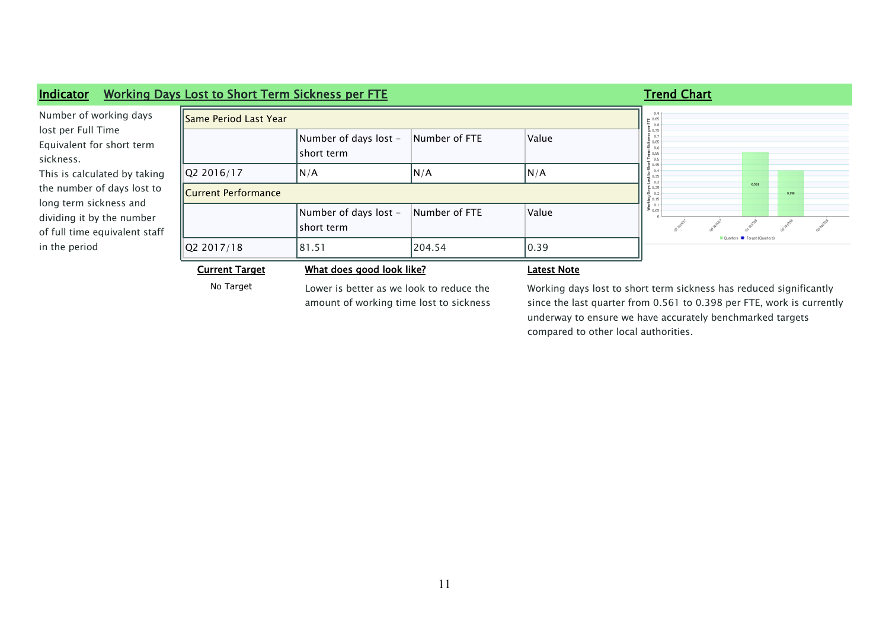| Indicator                                                                                                                           | <b>Working Days Lost to Short Term Sickness per FTE</b> |                                                                                     |                                                                                                                                             |                    | <b>Trend Chart</b> |  |                                |       |  |
|-------------------------------------------------------------------------------------------------------------------------------------|---------------------------------------------------------|-------------------------------------------------------------------------------------|---------------------------------------------------------------------------------------------------------------------------------------------|--------------------|--------------------|--|--------------------------------|-------|--|
| Number of working days<br>lost per Full Time<br>Equivalent for short term<br>sickness.                                              | Same Period Last Year                                   | $E_{0.8}$                                                                           |                                                                                                                                             |                    |                    |  |                                |       |  |
|                                                                                                                                     |                                                         | Number of days lost -<br>short term                                                 | Number of FTE                                                                                                                               | Value              |                    |  |                                |       |  |
| This is calculated by taking                                                                                                        | Q2 2016/17                                              | N/A                                                                                 | N/A                                                                                                                                         | N/A                |                    |  |                                |       |  |
| the number of days lost to<br>long term sickness and<br>dividing it by the number<br>of full time equivalent staff<br>in the period | <b>Current Performance</b>                              |                                                                                     |                                                                                                                                             |                    |                    |  | 0.561                          | 0.398 |  |
|                                                                                                                                     |                                                         | Number of days lost -<br>short term                                                 | Number of FTE                                                                                                                               | Value              | $\geq 0.05$        |  | ■ Quarters -■ Target (Quarters |       |  |
|                                                                                                                                     | Q2 2017/18                                              | 81.51                                                                               | 204.54                                                                                                                                      | 0.39               |                    |  |                                |       |  |
|                                                                                                                                     | <b>Current Target</b>                                   | What does good look like?                                                           |                                                                                                                                             | <b>Latest Note</b> |                    |  |                                |       |  |
|                                                                                                                                     | No Target                                               | Lower is better as we look to reduce the<br>amount of working time lost to sickness | Working days lost to short term sickness has reduced significantly<br>since the last quarter from 0.561 to 0.398 per FTE, work is currently |                    |                    |  |                                |       |  |

since the last quarter from 0.561 to 0.398 per FTE, work is currently underway to ensure we have accurately benchmarked targets compared to other local authorities.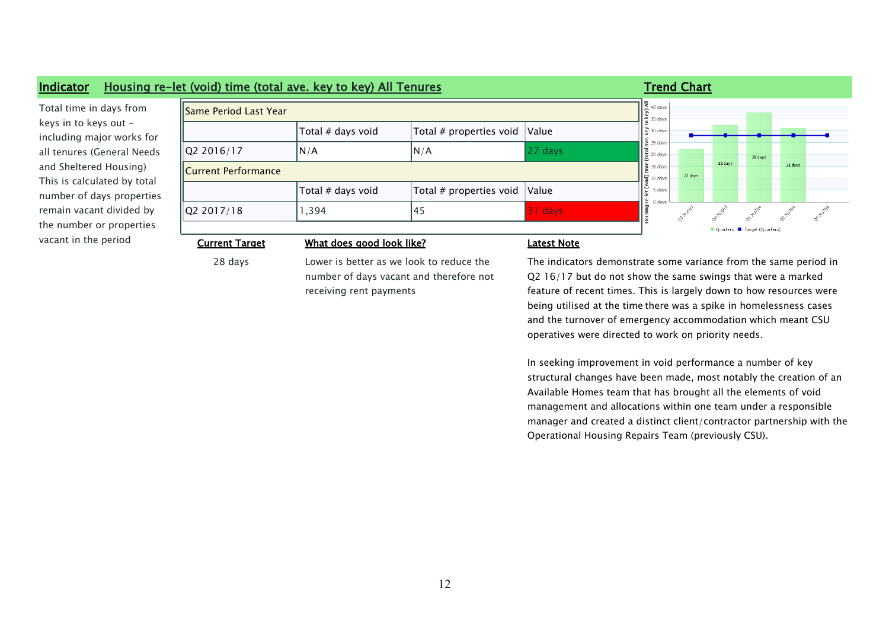

28 days Lower is better as we look to reduce the number of days vacant and therefore not receiving rent payments

The indicators demonstrate some variance from the same period in Q2 16/17 but do not show the same swings that were a marked feature of recent times. This is largely down to how resources were being utilised at the time there was a spike in homelessness cases and the turnover of emergency accommodation which meant CSU operatives were directed to work on priority needs.

In seeking improvement in void performance a number of key structural changes have been made, most notably the creation of an Available Homes team that has brought all the elements of void management and allocations within one team under a responsible manager and created a distinct client/contractor partnership with the Operational Housing Repairs Team (previously CSU).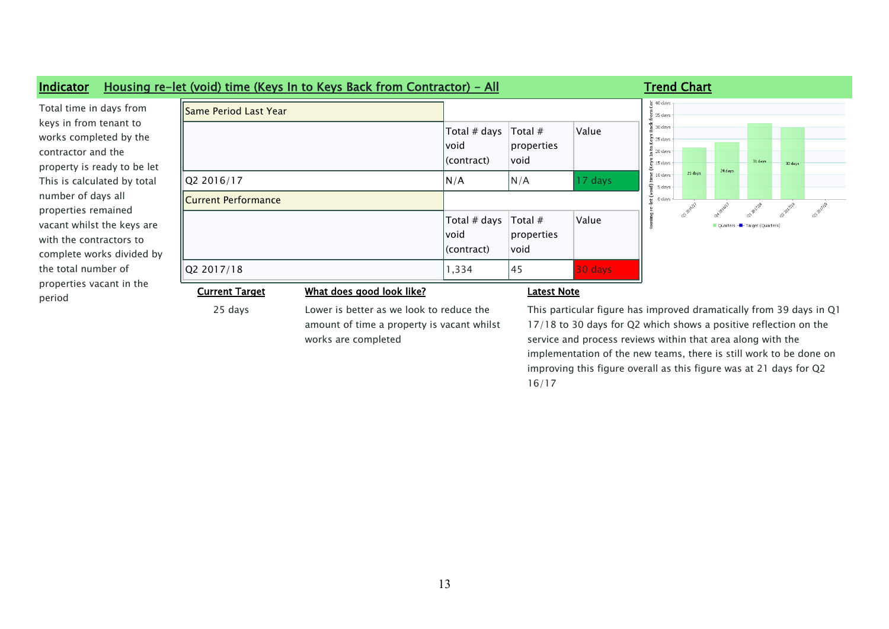

amount of time a property is vacant whilst works are completed

## 17/18 to 30 days for Q2 which shows a positive reflection on the service and process reviews within that area along with the implementation of the new teams, there is still work to be done on improving this figure overall as this figure was at 21 days for Q2 16/17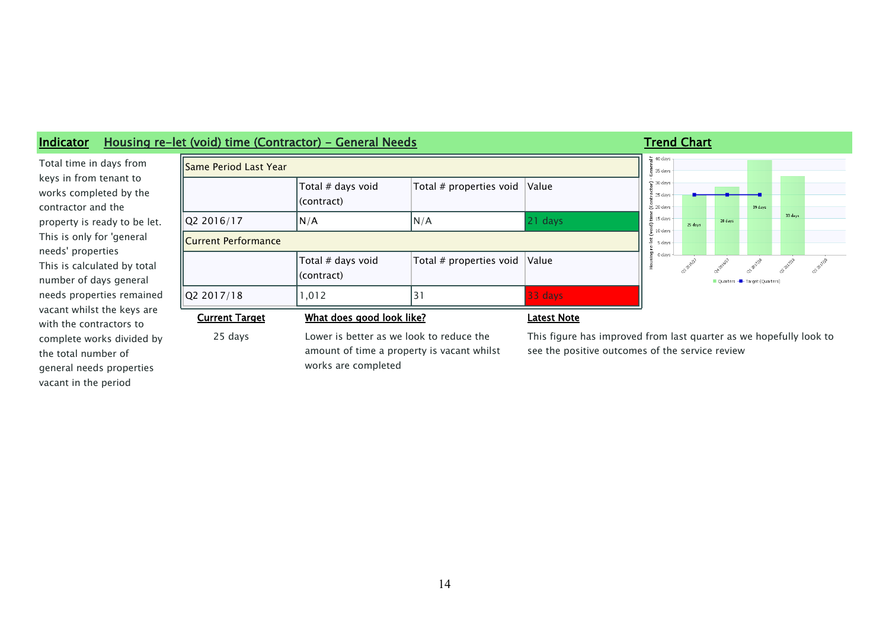

## **Indicator Housing re-let (void) time (Contractor) - General Needs Trend Chart Trend Chart**

Total time in days from keys in from tenant to works completed by the contractor and the property is ready to be let. This is only for 'general needs' properties This is calculated by total number of days general needs properties remained vacant whilst the keys are with the contractors to complete works divided by the total number of general needs properties vacant in the period

25 days Lower is better as we look to reduce the amount of time a property is vacant whilst works are completed

This figure has improved from last quarter as we hopefully look to see the positive outcomes of the service review

39 days

33 days

**OP** BIVIB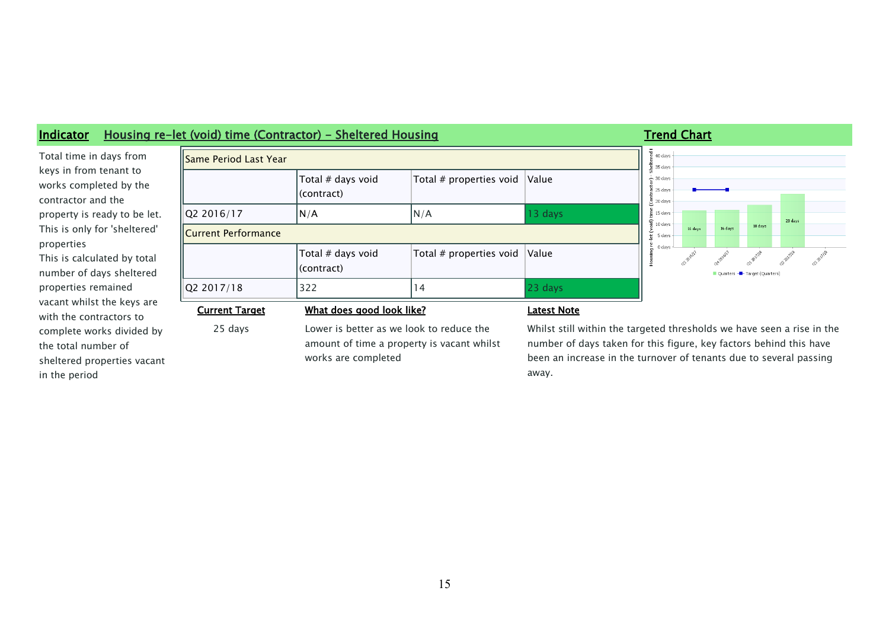

away.

properties remained vacant whilst the keys are with the contractors to complete works divided by the total number of sheltered properties vacant in the period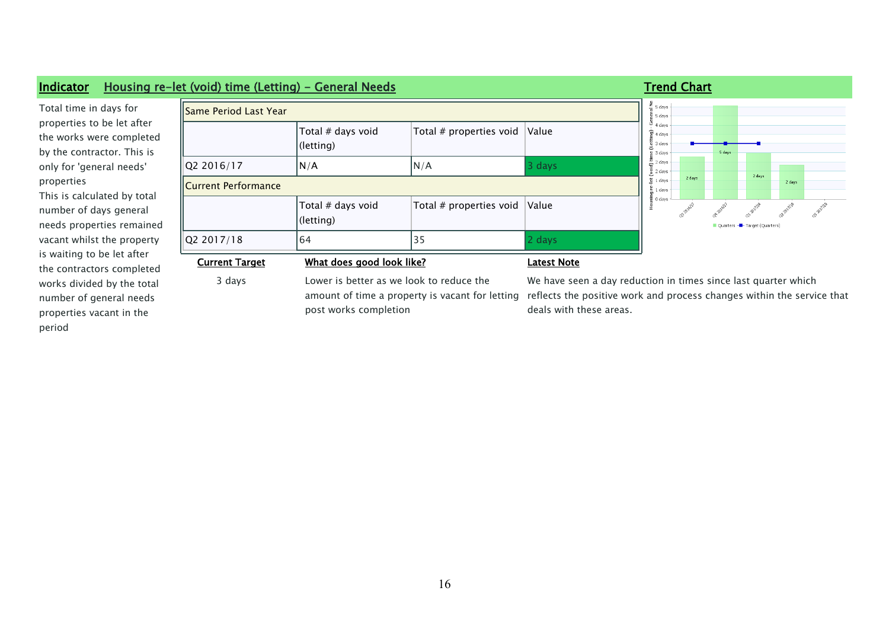

period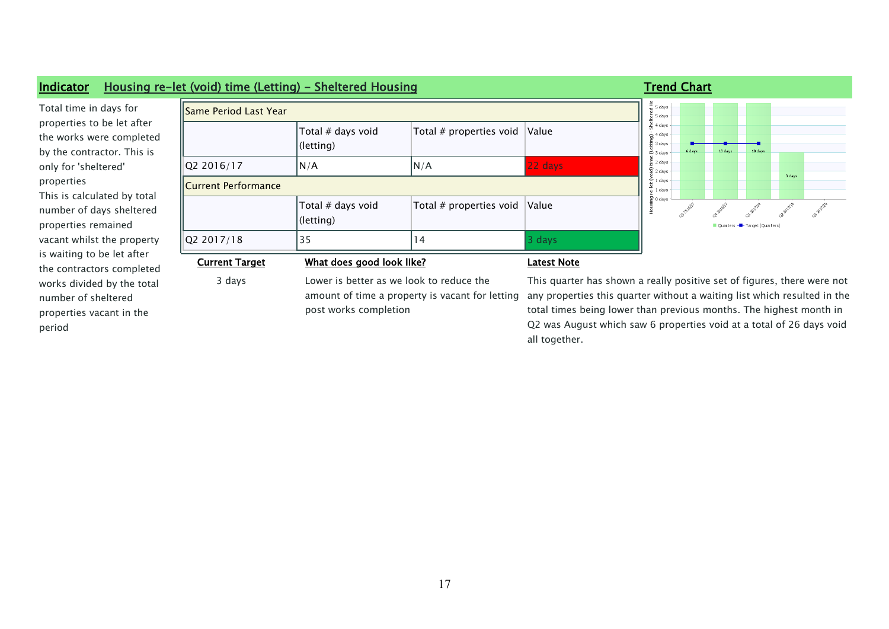| Same Period Last Year |                                |                                                                                                                      |         | $\tilde{\Xi}$ 5 days<br>$5$ 5 days                                                                                                                                                                                        |                              |        |  |
|-----------------------|--------------------------------|----------------------------------------------------------------------------------------------------------------------|---------|---------------------------------------------------------------------------------------------------------------------------------------------------------------------------------------------------------------------------|------------------------------|--------|--|
|                       | Total # days void<br>(letting) | Total # properties void                                                                                              | Value   | $\frac{8}{16}$ 4 days<br>$\frac{1}{2}$ <sup>4</sup> days<br>륨 3 days<br>6 days<br>$-3$ days                                                                                                                               | 10 days<br>18 days           |        |  |
| Q2 2016/17            | N/A                            | N/A                                                                                                                  | 22 days | $\equiv$ 2 days<br>$\mathfrak{D}$ 2 days                                                                                                                                                                                  |                              |        |  |
| Current Performance   |                                |                                                                                                                      |         | $-1$ davs<br>1 days                                                                                                                                                                                                       |                              | 3 days |  |
|                       | Total # days void<br>(letting) | Total # properties void                                                                                              | Value   | 말 0 days                                                                                                                                                                                                                  | Quarters - Target (Quarters) |        |  |
| Q2 2017/18            | 35                             | $\vert 4$                                                                                                            | 3 days  |                                                                                                                                                                                                                           |                              |        |  |
| <b>Current Target</b> |                                | What does good look like?<br><b>Latest Note</b>                                                                      |         |                                                                                                                                                                                                                           |                              |        |  |
| 3 days                |                                | Lower is better as we look to reduce the<br>amount of time a property is vacant for letting<br>post works completion |         | This quarter has shown a really positive set of figures, there were not<br>any properties this quarter without a waiting list which resulted in the<br>total times being lower than previous months. The highest month in |                              |        |  |

all together.

Q2 was August which saw 6 properties void at a total of 26 days void

## **Indicator Housing**

properties to be let afte the works were comple by the contractor. This only for 'sheltered' properties This is calculated by to number of days shelter properties remained vacant whilst the prope is waiting to be let after the contractors comple works divided by the to number of sheltered properties vacant in the period

Total time in days for

### 17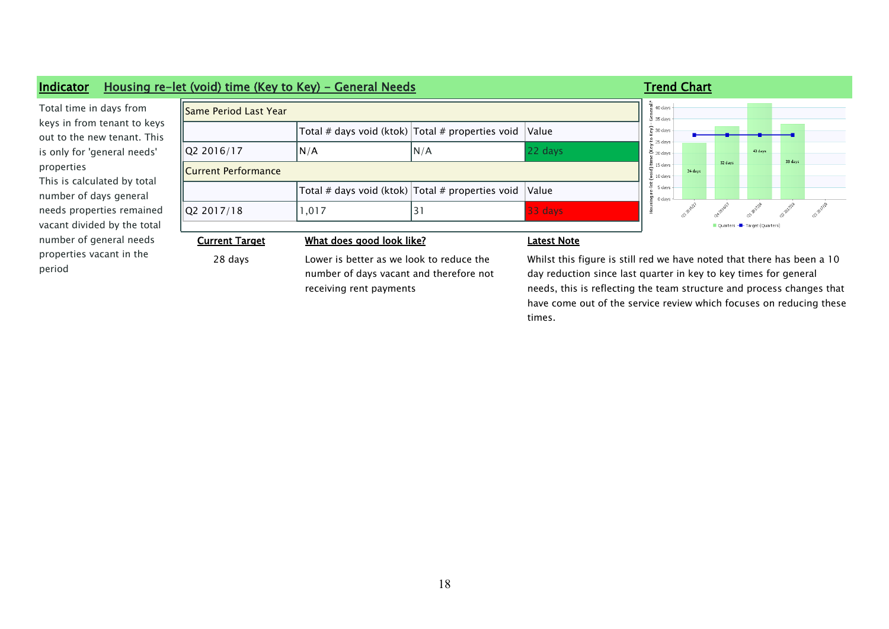### **Indicator Housing re-let (void) time (Key to Key) - General Needs Trand Chart Trend Chart**

Total time in days from keys in from tenant to keys out to the new tenant. This is only for 'general needs' properties This is calculated by total number of days general needs properties remained vacant divided by the total number of general needs properties vacant in the period

|   | <b>Same Period Last Year</b> |       |                                                         |           |  |  |  |  |  |
|---|------------------------------|-------|---------------------------------------------------------|-----------|--|--|--|--|--|
| S |                              |       | Total # days void (ktok) $ Total #$ properties void $ $ | Value     |  |  |  |  |  |
|   | Q2 2016/17                   | N/A   | N/A                                                     | $22$ days |  |  |  |  |  |
|   | Current Performance          |       |                                                         |           |  |  |  |  |  |
|   |                              |       | Total # days void (ktok) $ Total #$ properties void $ $ | Value     |  |  |  |  |  |
|   | Q2 2017/18                   | 1,017 | 3.                                                      | $33$ days |  |  |  |  |  |
|   |                              |       |                                                         |           |  |  |  |  |  |



### **Current Target What does good look like? Latest Note**

28 days Lower is better as we look to reduce the number of days vacant and therefore not receiving rent payments

Whilst this figure is still red we have noted that there has been a 10 day reduction since last quarter in key to key times for general needs, this is reflecting the team structure and process changes that have come out of the service review which focuses on reducing these times.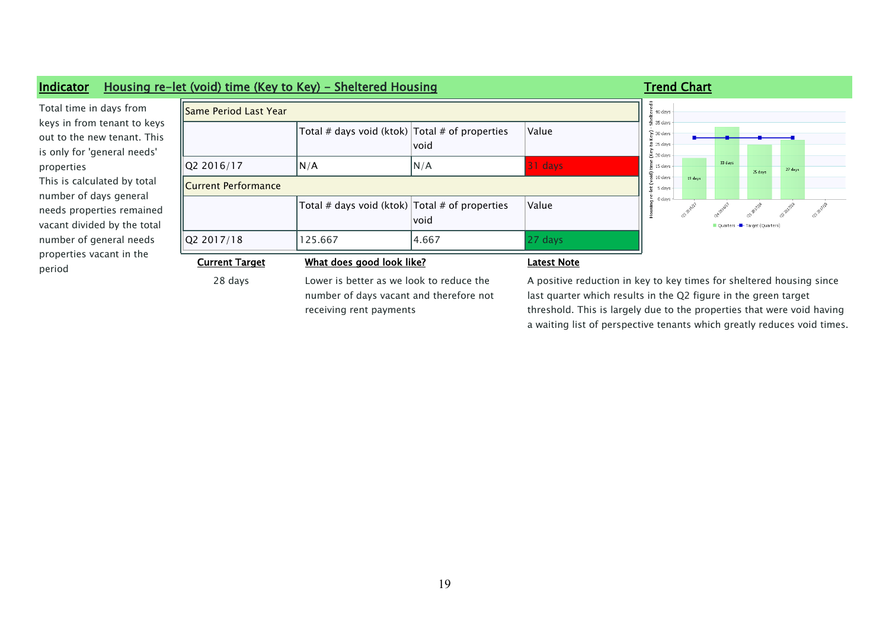

a waiting list of perspective tenants which greatly reduces void times.

19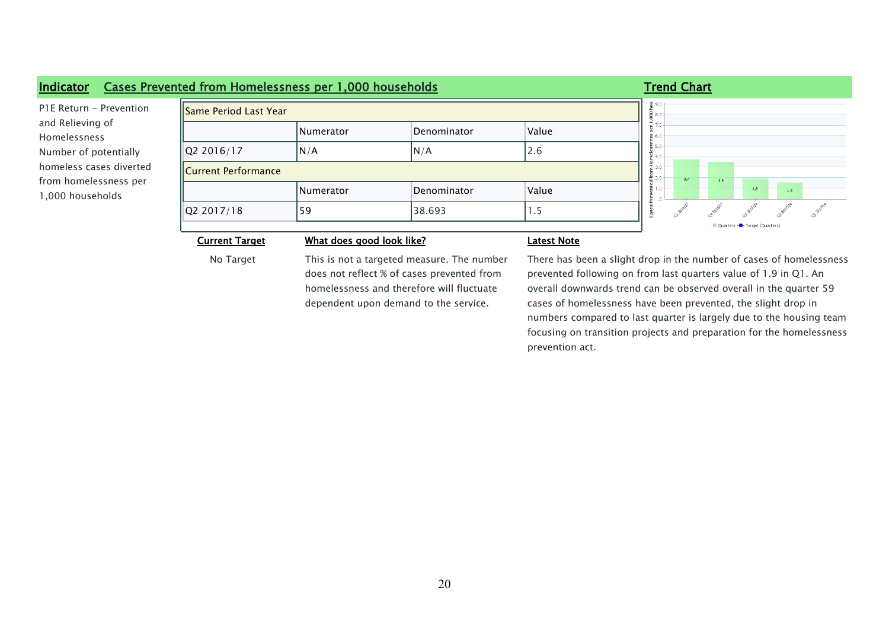### **Indicator Cases Prevented from Homelessness per 1,000 households Trend Chart Trend Chart**  $\frac{2}{9}$  9.0 P1E Return - Prevention Same Period Last Year ss per 1,000 h<br>6.<br>6. and Relieving of Numerator Denominator Value Homelessness  $\frac{5}{2}$  5.0  $|Q2 2016/17$   $|N/A$   $|N/A$  2.6 Number of potentially  $\frac{1}{2}$  4.0 homeless cases diverted Current Performance Prevented fro $\frac{2.0}{0.0}$  $3.7$ from homelessness per  $\overline{3.5}$  $1.9$  $_{15}$ Numerator Denominator Value 1,000 households ca-pazilas  $\sqrt{Q}2 \cdot 2017/18$   $\sqrt{59}$   $\sqrt{38.693}$   $\sqrt{1.5}$ .<br>ases Duart **Current Target What does good look like? Latest Note**

No Target This is not a targeted measure. The number does not reflect % of cases prevented from homelessness and therefore will fluctuate dependent upon demand to the service.

There has been a slight drop in the number of cases of homelessness prevented following on from last quarters value of 1.9 in Q1. An overall downwards trend can be observed overall in the quarter 59 cases of homelessness have been prevented, the slight drop in numbers compared to last quarter is largely due to the housing team focusing on transition projects and preparation for the homelessness prevention act.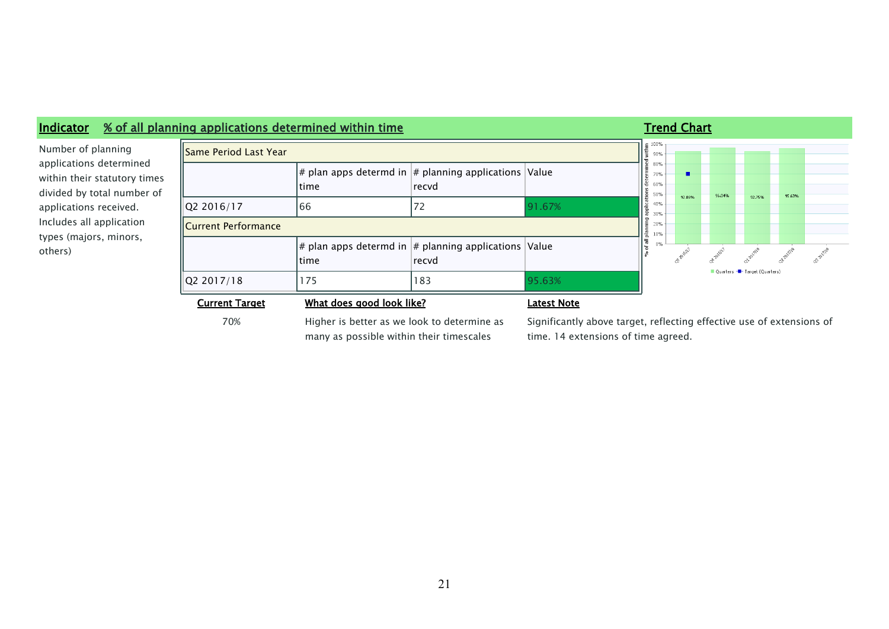

many as possible within their timescales

### Significantly above target, reflecting effective use of extensions of time. 14 extensions of time agreed.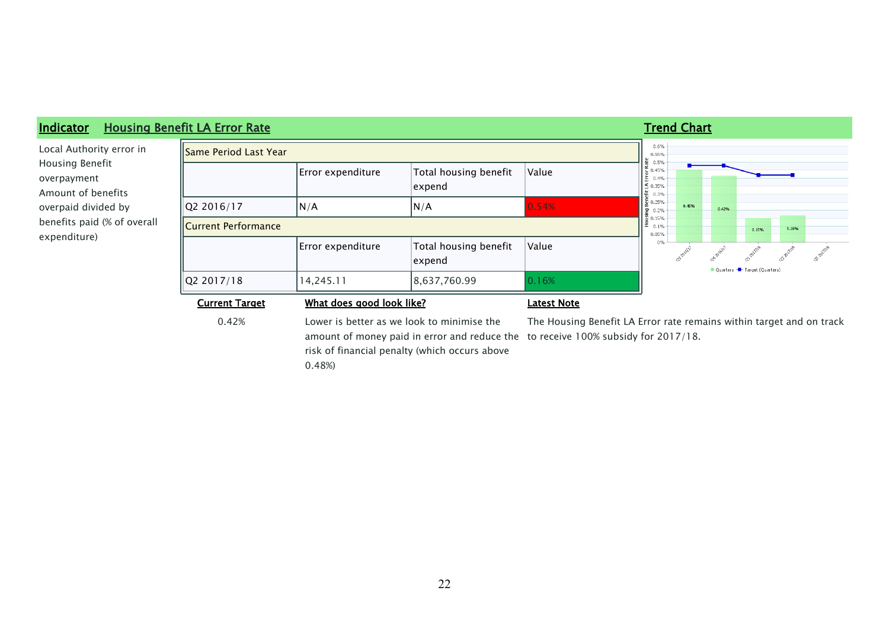

0.42% Lower is better as we look to minimise the amount of money paid in error and reduce the  $\,$  to receive 100% subsidy for 2017/18. risk of financial penalty (which occurs above

0.48%)

The Housing Benefit LA Error rate remains within target and on track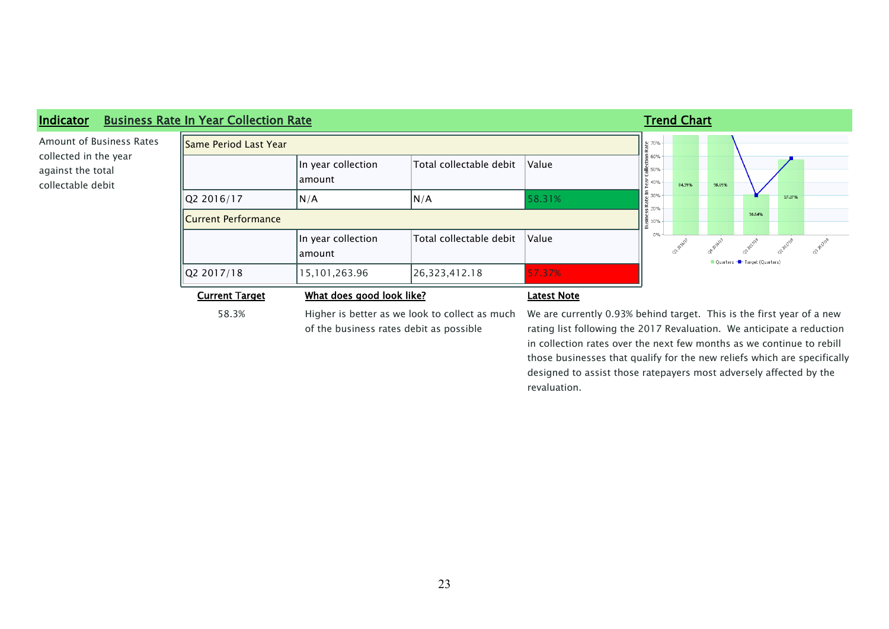

58.3% Higher is better as we look to collect as much of the business rates debit as possible

### We are currently 0.93% behind target. This is the first year of a new rating list following the 2017 Revaluation. We anticipate a reduction in collection rates over the next few months as we continue to rebill those businesses that qualify for the new reliefs which are specifically designed to assist those ratepayers most adversely affected by the revaluation.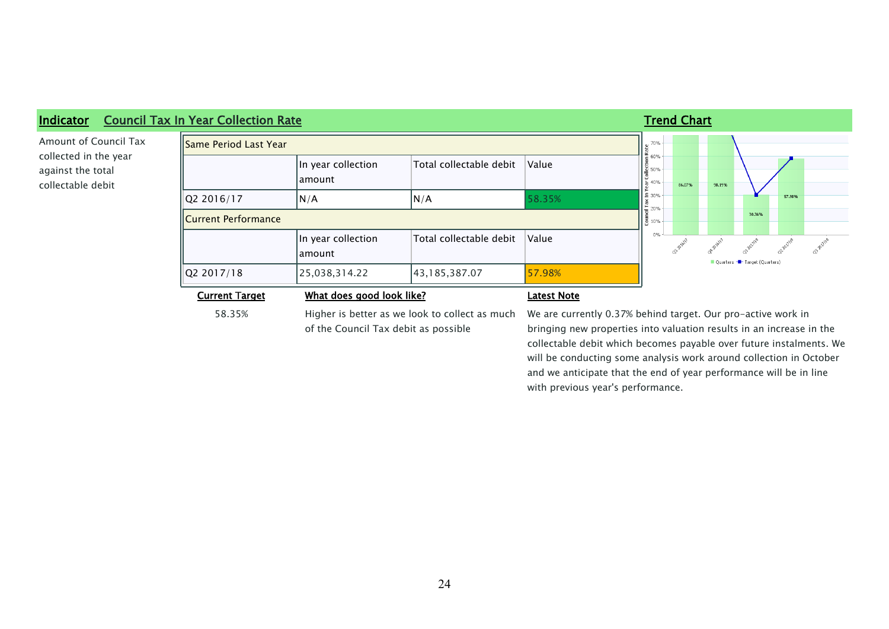

58.35% Higher is better as we look to collect as much of the Council Tax debit as possible

## We are currently 0.37% behind target. Our pro-active work in bringing new properties into valuation results in an increase in the collectable debit which becomes payable over future instalments. We will be conducting some analysis work around collection in October and we anticipate that the end of year performance will be in line with previous year's performance.